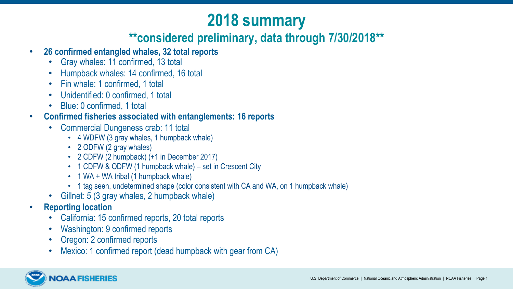## **2018 summary**

#### **\*\*considered preliminary, data through 7/30/2018\*\***

- **26 confirmed entangled whales, 32 total reports** 
	- Gray whales: 11 confirmed, 13 total
	- Humpback whales: 14 confirmed, 16 total
	- Fin whale: 1 confirmed, 1 total
	- Unidentified: 0 confirmed, 1 total
	- Blue: 0 confirmed, 1 total
- **Confirmed fisheries associated with entanglements: 16 reports** 
	- Commercial Dungeness crab: 11 total
		- 4 WDFW (3 gray whales, 1 humpback whale)
		- 2 ODFW (2 gray whales)
		- 2 CDFW (2 humpback) (+1 in December 2017)
		- 1 CDFW & ODFW (1 humpback whale) set in Crescent City
		- 1 WA + WA tribal (1 humpback whale)
		- 1 tag seen, undetermined shape (color consistent with CA and WA, on 1 humpback whale)
	- Gillnet: 5 (3 gray whales, 2 humpback whale)
- **Reporting location** 
	- California: 15 confirmed reports, 20 total reports
	- Washington: 9 confirmed reports
	- Oregon: 2 confirmed reports
	- Mexico: 1 confirmed report (dead humpback with gear from CA)

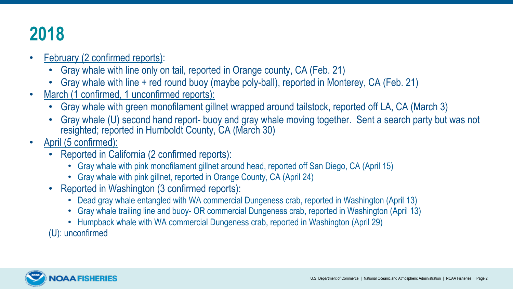# **2018**

- February (2 confirmed reports):
	- Gray whale with line only on tail, reported in Orange county, CA (Feb. 21)
	- Gray whale with line + red round buoy (maybe poly-ball), reported in Monterey, CA (Feb. 21)
- March (1 confirmed, 1 unconfirmed reports):
	- Gray whale with green monofilament gillnet wrapped around tailstock, reported off LA, CA (March 3)
	- Gray whale (U) second hand report- buoy and gray whale moving together. Sent a search party but was not resighted; reported in Humboldt County, CA (March 30)
- April (5 confirmed):
	- Reported in California (2 confirmed reports):
		- Gray whale with pink monofilament gillnet around head, reported off San Diego, CA (April 15)
		- Gray whale with pink gillnet, reported in Orange County, CA (April 24)
	- Reported in Washington (3 confirmed reports):
		- Dead gray whale entangled with WA commercial Dungeness crab, reported in Washington (April 13)
		- • Gray whale trailing line and buoy- OR commercial Dungeness crab, reported in Washington (April 13)
		- Humpback whale with WA commercial Dungeness crab, reported in Washington (April 29)

(U): unconfirmed

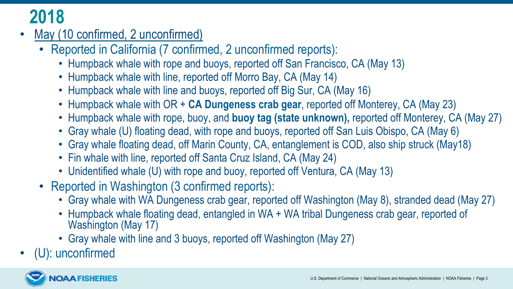## **2018**

- May (10 confirmed, 2 unconfirmed)
	- Reported in California (7 confirmed, 2 unconfirmed reports):
		- Humpback whale with rope and buoys, reported off San Francisco, CA (May 13)
		- Humpback whale with line, reported off Morro Bay, CA (May 14)
		- Humpback whale with line and buoys, reported off Big Sur, CA (May 16)
		- Humpback whale with OR + **CA Dungeness crab gear**, reported off Monterey, CA (May 23)
		- Humpback whale with rope, buoy, and **buoy tag (state unknown),** reported off Monterey, CA (May 27)
		- Gray whale (U) floating dead, with rope and buoys, reported off San Luis Obispo, CA (May 6)
		- Gray whale floating dead, off Marin County, CA, entanglement is COD, also ship struck (May18)
		- Fin whale with line, reported off Santa Cruz Island, CA (May 24)
		- Unidentified whale (U) with rope and buoy, reported off Ventura, CA (May 13)
	- Reported in Washington (3 confirmed reports):
		- Gray whale with WA Dungeness crab gear, reported off Washington (May 8), stranded dead (May 27)
		- Humpback whale floating dead, entangled in WA + WA tribal Dungeness crab gear, reported of Washington (May 17)
		- Gray whale with line and 3 buoys, reported off Washington (May 27)
- (U): unconfirmed